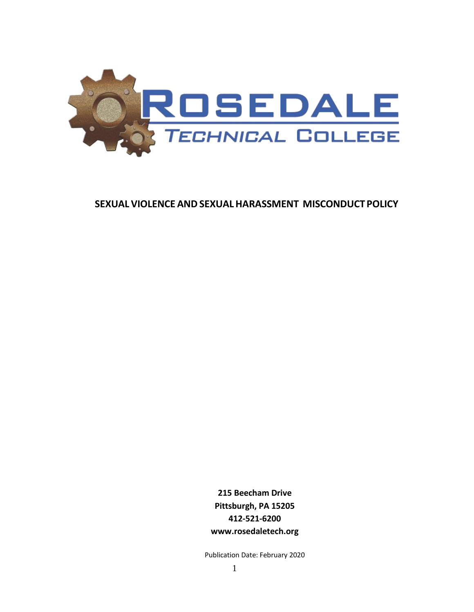

# **SEXUAL VIOLENCE ANDSEXUALHARASSMENT MISCONDUCT POLICY**

**215 Beecham Drive Pittsburgh, PA 15205 412-521-6200 www.rosedaletech.org**

Publication Date: February 2020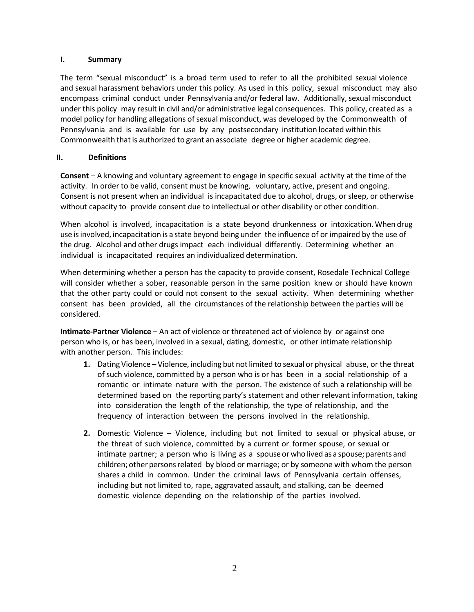### **I. Summary**

The term "sexual misconduct" is a broad term used to refer to all the prohibited sexual violence and sexual harassment behaviors under this policy. As used in this policy, sexual misconduct may also encompass criminal conduct under Pennsylvania and/or federal law. Additionally, sexual misconduct under this policy may result in civil and/or administrative legal consequences. This policy, created as a model policy for handling allegations of sexual misconduct, was developed by the Commonwealth of Pennsylvania and is available for use by any postsecondary institution located within this Commonwealth that is authorized to grant an associate degree or higher academic degree.

## **II. Definitions**

**Consent** – A knowing and voluntary agreement to engage in specific sexual activity at the time of the activity. In order to be valid, consent must be knowing, voluntary, active, present and ongoing. Consent is not present when an individual is incapacitated due to alcohol, drugs, or sleep, or otherwise without capacity to provide consent due to intellectual or other disability or other condition.

When alcohol is involved, incapacitation is a state beyond drunkenness or intoxication. When drug use isinvolved, incapacitation is a state beyond being under the influence of or impaired by the use of the drug. Alcohol and other drugs impact each individual differently. Determining whether an individual is incapacitated requires an individualized determination.

When determining whether a person has the capacity to provide consent, Rosedale Technical College will consider whether a sober, reasonable person in the same position knew or should have known that the other party could or could not consent to the sexual activity. When determining whether consent has been provided, all the circumstances of the relationship between the parties will be considered.

**Intimate-Partner Violence** – An act of violence or threatened act of violence by or against one person who is, or has been, involved in a sexual, dating, domestic, or other intimate relationship with another person. This includes:

- **1.** Dating Violence Violence, including but not limited to sexual or physical abuse, or the threat of such violence, committed by a person who is or has been in a social relationship of a romantic or intimate nature with the person. The existence of such a relationship will be determined based on the reporting party's statement and other relevant information, taking into consideration the length of the relationship, the type of relationship, and the frequency of interaction between the persons involved in the relationship.
- **2.** Domestic Violence Violence, including but not limited to sexual or physical abuse, or the threat of such violence, committed by a current or former spouse, or sexual or intimate partner; a person who is living as a spouse or who lived as a spouse; parents and children; other persons related by blood or marriage; or by someone with whom the person shares a child in common. Under the criminal laws of Pennsylvania certain offenses, including but not limited to, rape, aggravated assault, and stalking, can be deemed domestic violence depending on the relationship of the parties involved.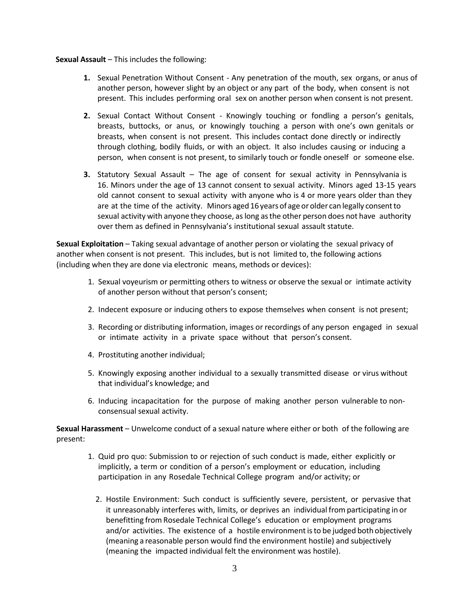#### **Sexual Assault** – This includes the following:

- **1.** Sexual Penetration Without Consent Any penetration of the mouth, sex organs, or anus of another person, however slight by an object or any part of the body, when consent is not present. This includes performing oral sex on another person when consent is not present.
- **2.** Sexual Contact Without Consent Knowingly touching or fondling a person's genitals, breasts, buttocks, or anus, or knowingly touching a person with one's own genitals or breasts, when consent is not present. This includes contact done directly or indirectly through clothing, bodily fluids, or with an object. It also includes causing or inducing a person, when consent is not present, to similarly touch or fondle oneself or someone else.
- **3.** Statutory Sexual Assault The age of consent for sexual activity in Pennsylvania is 16. Minors under the age of 13 cannot consent to sexual activity. Minors aged 13-15 years old cannot consent to sexual activity with anyone who is 4 or more years older than they are at the time of the activity. Minors aged 16 years of age or older can legally consent to sexual activity with anyone they choose, aslong asthe other person does not have authority over them as defined in Pennsylvania's institutional sexual assault statute.

**Sexual Exploitation** – Taking sexual advantage of another person or violating the sexual privacy of another when consent is not present. This includes, but is not limited to, the following actions (including when they are done via electronic means, methods or devices):

- 1. Sexual voyeurism or permitting others to witness or observe the sexual or intimate activity of another person without that person's consent;
- 2. Indecent exposure or inducing others to expose themselves when consent is not present;
- 3. Recording or distributing information, images or recordings of any person engaged in sexual or intimate activity in a private space without that person's consent.
- 4. Prostituting another individual;
- 5. Knowingly exposing another individual to a sexually transmitted disease or virus without that individual's knowledge; and
- 6. Inducing incapacitation for the purpose of making another person vulnerable to nonconsensual sexual activity.

**Sexual Harassment** – Unwelcome conduct of a sexual nature where either or both of the following are present:

- 1. Quid pro quo: Submission to or rejection of such conduct is made, either explicitly or implicitly, a term or condition of a person's employment or education, including participation in any Rosedale Technical College program and/or activity; or
	- 2. Hostile Environment: Such conduct is sufficiently severe, persistent, or pervasive that it unreasonably interferes with, limits, or deprives an individual from participating in or benefitting from Rosedale Technical College's education or employment programs and/or activities. The existence of a hostile environment is to be judged both objectively (meaning a reasonable person would find the environment hostile) and subjectively (meaning the impacted individual felt the environment was hostile).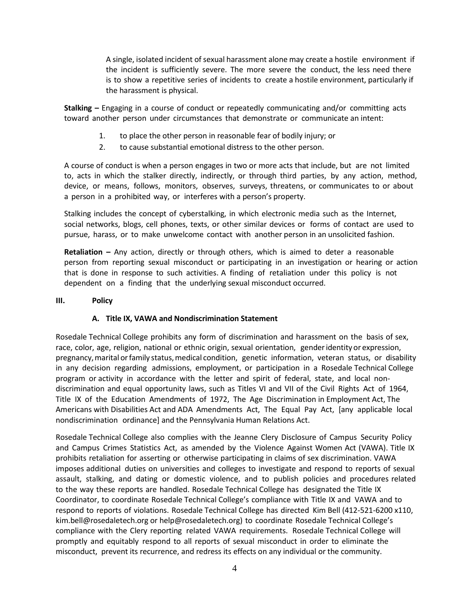A single, isolated incident of sexual harassment alone may create a hostile environment if the incident is sufficiently severe. The more severe the conduct, the less need there is to show a repetitive series of incidents to create a hostile environment, particularly if the harassment is physical.

**Stalking –** Engaging in a course of conduct or repeatedly communicating and/or committing acts toward another person under circumstances that demonstrate or communicate an intent:

- 1. to place the other person in reasonable fear of bodily injury; or
- 2. to cause substantial emotional distress to the other person.

A course of conduct is when a person engages in two or more acts that include, but are not limited to, acts in which the stalker directly, indirectly, or through third parties, by any action, method, device, or means, follows, monitors, observes, surveys, threatens, or communicates to or about a person in a prohibited way, or interferes with a person's property.

Stalking includes the concept of cyberstalking, in which electronic media such as the Internet, social networks, blogs, cell phones, texts, or other similar devices or forms of contact are used to pursue, harass, or to make unwelcome contact with another person in an unsolicited fashion.

**Retaliation –** Any action, directly or through others, which is aimed to deter a reasonable person from reporting sexual misconduct or participating in an investigation or hearing or action that is done in response to such activities. A finding of retaliation under this policy is not dependent on a finding that the underlying sexual misconduct occurred.

### **III. Policy**

### **A. Title IX, VAWA and Nondiscrimination Statement**

Rosedale Technical College prohibits any form of discrimination and harassment on the basis of sex, race, color, age, religion, national or ethnic origin, sexual orientation, genderidentity or expression, pregnancy, marital or family status, medical condition, genetic information, veteran status, or disability in any decision regarding admissions, employment, or participation in a Rosedale Technical College program or activity in accordance with the letter and spirit of federal, state, and local nondiscrimination and equal opportunity laws, such as Titles VI and VII of the Civil Rights Act of 1964, Title IX of the Education Amendments of 1972, The Age Discrimination in Employment Act, The Americans with Disabilities Act and ADA Amendments Act, The Equal Pay Act, [any applicable local nondiscrimination ordinance] and the Pennsylvania Human Relations Act.

Rosedale Technical College also complies with the Jeanne Clery Disclosure of Campus Security Policy and Campus Crimes Statistics Act, as amended by the Violence Against Women Act (VAWA). Title IX prohibits retaliation for asserting or otherwise participating in claims of sex discrimination. VAWA imposes additional duties on universities and colleges to investigate and respond to reports of sexual assault, stalking, and dating or domestic violence, and to publish policies and procedures related to the way these reports are handled. Rosedale Technical College has designated the Title IX Coordinator, to coordinate Rosedale Technical College's compliance with Title IX and VAWA and to respond to reports of violations. Rosedale Technical College has directed Kim Bell (412-521-6200 x110, kim.bell@rosedaletech.org or help@rosedaletech.org) to coordinate Rosedale Technical College's compliance with the Clery reporting related VAWA requirements. Rosedale Technical College will promptly and equitably respond to all reports of sexual misconduct in order to eliminate the misconduct, prevent its recurrence, and redress its effects on any individual or the community.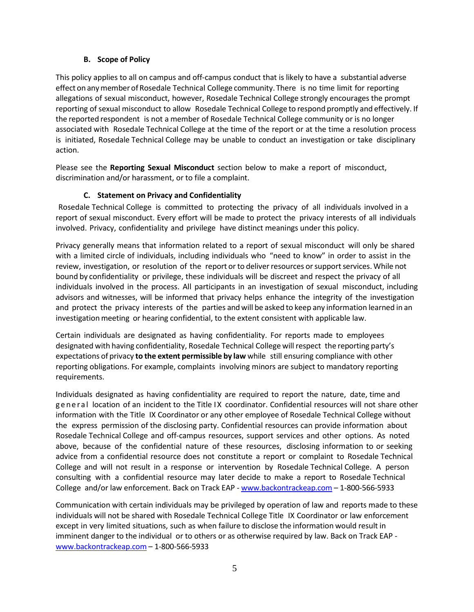### **B. Scope of Policy**

This policy applies to all on campus and off-campus conduct that is likely to have a substantial adverse effect on anymember of Rosedale Technical College community. There is no time limit for reporting allegations of sexual misconduct, however, Rosedale Technical College strongly encourages the prompt reporting of sexual misconduct to allow Rosedale Technical College to respond promptly and effectively. If the reported respondent is not a member of Rosedale Technical College community or is no longer associated with Rosedale Technical College at the time of the report or at the time a resolution process is initiated, Rosedale Technical College may be unable to conduct an investigation or take disciplinary action.

Please see the **Reporting Sexual Misconduct** section below to make a report of misconduct, discrimination and/or harassment, or to file a complaint.

## **C. Statement on Privacy and Confidentiality**

Rosedale Technical College is committed to protecting the privacy of all individuals involved in a report of sexual misconduct. Every effort will be made to protect the privacy interests of all individuals involved. Privacy, confidentiality and privilege have distinct meanings under this policy.

Privacy generally means that information related to a report of sexual misconduct will only be shared with a limited circle of individuals, including individuals who "need to know" in order to assist in the review, investigation, or resolution of the report or to deliver resources or support services. While not bound by confidentiality or privilege, these individuals will be discreet and respect the privacy of all individuals involved in the process. All participants in an investigation of sexual misconduct, including advisors and witnesses, will be informed that privacy helps enhance the integrity of the investigation and protect the privacy interests of the parties andwill be asked to keep any information learned in an investigation meeting or hearing confidential, to the extent consistent with applicable law.

Certain individuals are designated as having confidentiality. For reports made to employees designated with having confidentiality, Rosedale Technical College will respect the reporting party's expectations of privacy **to the extent permissible by law** while still ensuring compliance with other reporting obligations. For example, complaints involving minors are subject to mandatory reporting requirements.

Individuals designated as having confidentiality are required to report the nature, date, time and general location of an incident to the Title IX coordinator. Confidential resources will not share other information with the Title IX Coordinator or any other employee of Rosedale Technical College without the express permission of the disclosing party. Confidential resources can provide information about Rosedale Technical College and off-campus resources, support services and other options. As noted above, because of the confidential nature of these resources, disclosing information to or seeking advice from a confidential resource does not constitute a report or complaint to Rosedale Technical College and will not result in a response or intervention by Rosedale Technical College. A person consulting with a confidential resource may later decide to make a report to Rosedale Technical College and/or law enforcement. Back on Track EAP - [www.backontrackeap.com](http://www.backontrackeap.com/) – 1-800-566-5933

Communication with certain individuals may be privileged by operation of law and reports made to these individuals will not be shared with Rosedale Technical College Title IX Coordinator or law enforcement except in very limited situations, such as when failure to disclose the information would result in imminent danger to the individual or to others or as otherwise required by law. Back on Track EAP [www.backontrackeap.com](http://www.backontrackeap.com/) – 1-800-566-5933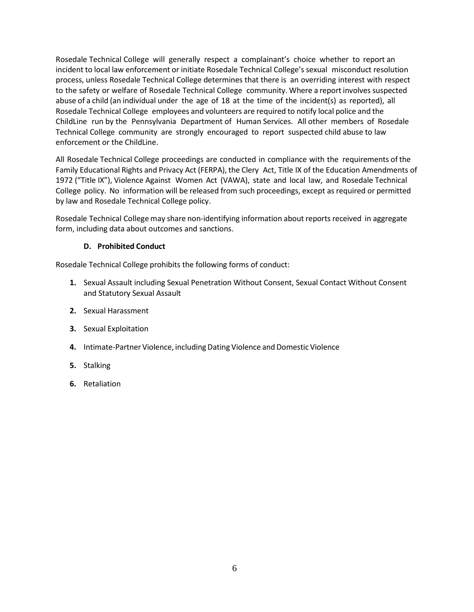Rosedale Technical College will generally respect a complainant's choice whether to report an incident to local law enforcement or initiate Rosedale Technical College's sexual misconduct resolution process, unless Rosedale Technical College determines that there is an overriding interest with respect to the safety or welfare of Rosedale Technical College community. Where a report involves suspected abuse of a child (an individual under the age of 18 at the time of the incident(s) as reported), all Rosedale Technical College employees and volunteers are required to notify local police and th[e](http://www.dhs.pa.gov/citizens/reportabuse/index.htm) [ChildLine](http://www.dhs.pa.gov/citizens/reportabuse/index.htm) run by the Pennsylvania Department of Human Services. All other members of Rosedale Technical College community are strongly encouraged to report suspected child abuse to law enforcement or th[e ChildLine.](http://www.dhs.pa.gov/citizens/reportabuse/index.htm)

All Rosedale Technical College proceedings are conducted in compliance with the requirements of the Family Educational Rights and Privacy Act (FERPA), the Clery Act, Title IX of the Education Amendments of 1972 ("Title IX"), Violence Against Women Act (VAWA), state and local law, and Rosedale Technical College policy. No information will be released from such proceedings, except as required or permitted by law and Rosedale Technical College policy.

Rosedale Technical College may share non-identifying information about reports received in aggregate form, including data about outcomes and sanctions.

## **D. Prohibited Conduct**

Rosedale Technical College prohibits the following forms of conduct:

- **1.** Sexual Assault including Sexual Penetration Without Consent, Sexual Contact Without Consent and Statutory Sexual Assault
- **2.** Sexual Harassment
- **3.** Sexual Exploitation
- **4.** Intimate-Partner Violence, including Dating Violence and Domestic Violence
- **5.** Stalking
- **6.** Retaliation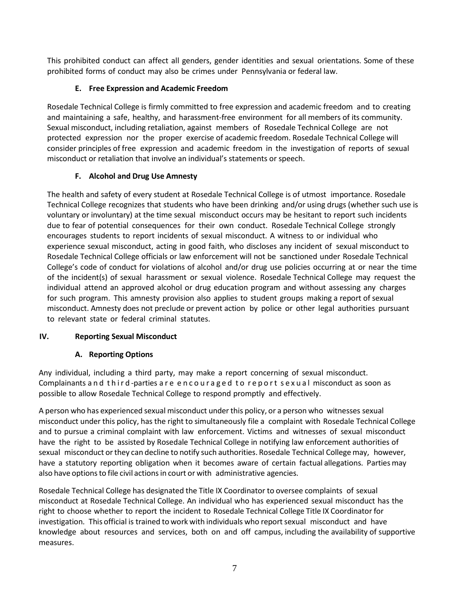This prohibited conduct can affect all genders, gender identities and sexual orientations. Some of these prohibited forms of conduct may also be crimes under Pennsylvania or federal law.

## **E. Free Expression and Academic Freedom**

Rosedale Technical College is firmly committed to free expression and academic freedom and to creating and maintaining a safe, healthy, and harassment-free environment for all members of its community. Sexual misconduct, including retaliation, against members of Rosedale Technical College are not protected expression nor the proper exercise of academic freedom. Rosedale Technical College will consider principles of free expression and academic freedom in the investigation of reports of sexual misconduct or retaliation that involve an individual's statements or speech.

## **F. Alcohol and Drug Use Amnesty**

The health and safety of every student at Rosedale Technical College is of utmost importance. Rosedale Technical College recognizes that students who have been drinking and/or using drugs (whether such use is voluntary or involuntary) at the time sexual misconduct occurs may be hesitant to report such incidents due to fear of potential consequences for their own conduct. Rosedale Technical College strongly encourages students to report incidents of sexual misconduct. A witness to or individual who experience sexual misconduct, acting in good faith, who discloses any incident of sexual misconduct to Rosedale Technical College officials or law enforcement will not be sanctioned under Rosedale Technical College's code of conduct for violations of alcohol and/or drug use policies occurring at or near the time of the incident(s) of sexual harassment or sexual violence. Rosedale Technical College may request the individual attend an approved alcohol or drug education program and without assessing any charges for such program. This amnesty provision also applies to student groups making a report of sexual misconduct. Amnesty does not preclude or prevent action by police or other legal authorities pursuant to relevant state or federal criminal statutes.

## **IV. Reporting Sexual Misconduct**

## **A. Reporting Options**

Any individual, including a third party, may make a report concerning of sexual misconduct. Complainants and third-parties are encouraged to report sexual misconduct as soon as possible to allow Rosedale Technical College to respond promptly and effectively.

A person who has experienced sexual misconduct underthis policy, or a person who witnesses sexual misconduct under this policy, has the right to simultaneously file a complaint with Rosedale Technical College and to pursue a criminal complaint with law enforcement. Victims and witnesses of sexual misconduct have the right to be assisted by Rosedale Technical College in notifying law enforcement authorities of sexual misconduct orthey can decline to notify such authorities. Rosedale Technical Collegemay, however, have a statutory reporting obligation when it becomes aware of certain factual allegations. Partiesmay also have optionsto file civil actionsin court or with administrative agencies.

Rosedale Technical College has designated the Title IX Coordinator to oversee complaints of sexual misconduct at Rosedale Technical College. An individual who has experienced sexual misconduct has the right to choose whether to report the incident to Rosedale Technical College Title IX Coordinator for investigation. This official is trained to work with individuals who reportsexual misconduct and have knowledge about resources and services, both on and off campus, including the availability of supportive measures.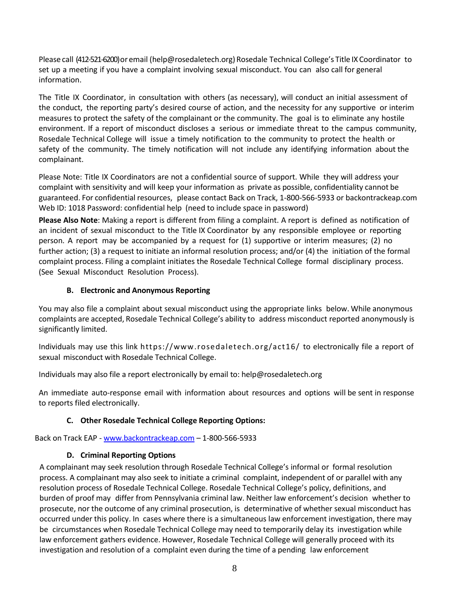Please call (412-521-6200) or email (help@rosedaletech.org) Rosedale Technical College's Title IX Coordinator to set up a meeting if you have a complaint involving sexual misconduct. You can also call for general information.

The Title IX Coordinator, in consultation with others (as necessary), will conduct an initial assessment of the conduct, the reporting party's desired course of action, and the necessity for any supportive or interim measures to protect the safety of the complainant or the community. The goal is to eliminate any hostile environment. If a report of misconduct discloses a serious or immediate threat to the campus community, Rosedale Technical College will issue a timely notification to the community to protect the health or safety of the community. The timely notification will not include any identifying information about the complainant.

Please Note: Title IX Coordinators are not a confidential source of support. While they will address your complaint with sensitivity and will keep your information as private as possible, confidentiality cannot be guaranteed. For confidential resources, please contact Back on Track, 1-800-566-5933 or backontrackeap.com Web ID: 1018 Password: confidential help (need to include space in password)

**Please Also Note**: Making a report is different from filing a complaint. A report is defined as notification of an incident of sexual misconduct to the Title IX Coordinator by any responsible employee or reporting person. A report may be accompanied by a request for (1) supportive or interim measures; (2) no further action; (3) a request to initiate an informal resolution process; and/or (4) the initiation of the formal complaint process. Filing a complaint initiates the Rosedale Technical College formal disciplinary process. (See Sexual Misconduct Resolution Process).

### **B. Electronic and Anonymous Reporting**

You may also file a complaint about sexual misconduct using the appropriate links below. While anonymous complaints are accepted, Rosedale Technical College's ability to address misconduct reported anonymously is significantly limited.

Individuals may use this link https://www.rosedaletech.org/act16/ to electronically file a report of sexual misconduct with Rosedale Technical College.

Individuals may also file a report electronically by email to: help@rosedaletech.org

An immediate auto-response email with information about resources and options will be sent in response to reports filed electronically.

## **C. Other Rosedale Technical College Reporting Options:**

Back on Track EAP - [www.backontrackeap.com](http://www.backontrackeap.com/) – 1-800-566-5933

## **D. Criminal Reporting Options**

A complainant may seek resolution through Rosedale Technical College's informal or formal resolution process. A complainant may also seek to initiate a criminal complaint, independent of or parallel with any resolution process of Rosedale Technical College. Rosedale Technical College's policy, definitions, and burden of proof may differ from Pennsylvania criminal law. Neither law enforcement's decision whether to prosecute, nor the outcome of any criminal prosecution, is determinative of whether sexual misconduct has occurred under this policy. In cases where there is a simultaneous law enforcement investigation, there may be circumstances when Rosedale Technical College may need to temporarily delay its investigation while law enforcement gathers evidence. However, Rosedale Technical College will generally proceed with its investigation and resolution of a complaint even during the time of a pending law enforcement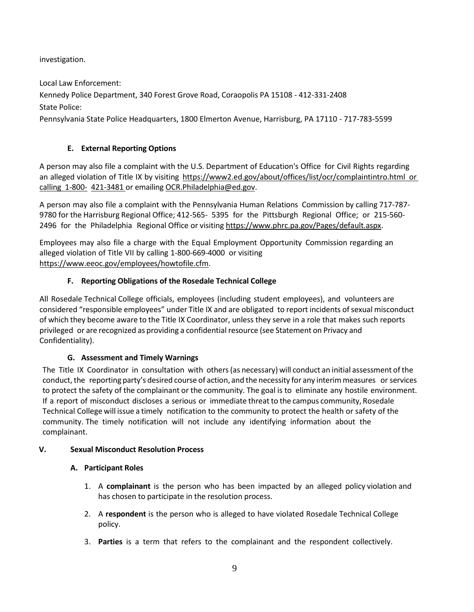investigation.

Local Law Enforcement:

Kennedy Police Department, 340 Forest Grove Road, Coraopolis PA 15108 - 412-331-2408 State Police:

Pennsylvania State Police Headquarters, 1800 Elmerton Avenue, Harrisburg, PA 17110 - 717-783-5599

# **E. External Reporting Options**

A person may also file a complaint with the U.S. Department of Education's Office for Civil Rights regarding an alleged violation of Title IX by visiting [https://www2.ed.gov/about/offices/list/ocr/complaintintro.html](https://www2.ed.gov/about/offices/list/ocr/complaintintro.html%20or%20calling%201-800-421-3481) or calling [1-800-](https://www2.ed.gov/about/offices/list/ocr/complaintintro.html%20or%20calling%201-800-421-3481) [421-3481](https://www2.ed.gov/about/offices/list/ocr/complaintintro.html%20or%20calling%201-800-421-3481) or emailing [OCR.Philadelphia@ed.gov.](mailto:OCR.Philadelphia@ed.gov)

A person may also file a complaint with the Pennsylvania Human Relations Commission by calling 717-787- 9780 for the Harrisburg Regional Office; 412-565- 5395 for the Pittsburgh Regional Office; or 215-560 2496 for the Philadelphia Regional Office or visiting [https://www.phrc.pa.gov/Pages/default.aspx.](https://www.phrc.pa.gov/Pages/default.aspx)

Employees may also file a charge with the Equal Employment Opportunity Commission regarding an alleged violation of Title VII by calling 1-800-669-4000 or visiting [https://www.eeoc.gov/employees/howtofile.cfm.](https://www.eeoc.gov/employees/howtofile.cfm)

# **F. Reporting Obligations of the Rosedale Technical College**

All Rosedale Technical College officials, employees (including student employees), and volunteers are considered "responsible employees" under Title IX and are obligated to report incidents ofsexual misconduct of which they become aware to the Title IX Coordinator, unless they serve in a role that makes such reports privileged or are recognized as providing a confidential resource (see Statement on Privacy and Confidentiality).

# **G. Assessment and Timely Warnings**

The Title IX Coordinator in consultation with others(as necessary) will conduct an initial assessment ofthe conduct, the reporting party's desired course of action, and the necessity for any interim measures or services to protect the safety of the complainant or the community. The goal is to eliminate any hostile environment. If a report of misconduct discloses a serious or immediate threatto the campus community, Rosedale Technical College will issue a timely notification to the community to protect the health or safety of the community. The timely notification will not include any identifying information about the complainant.

# **V. Sexual Misconduct Resolution Process**

# **A. Participant Roles**

- 1. A **complainant** is the person who has been impacted by an alleged policy violation and has chosen to participate in the resolution process.
- 2. A **respondent** is the person who is alleged to have violated Rosedale Technical College policy.
- 3. **Parties** is a term that refers to the complainant and the respondent collectively.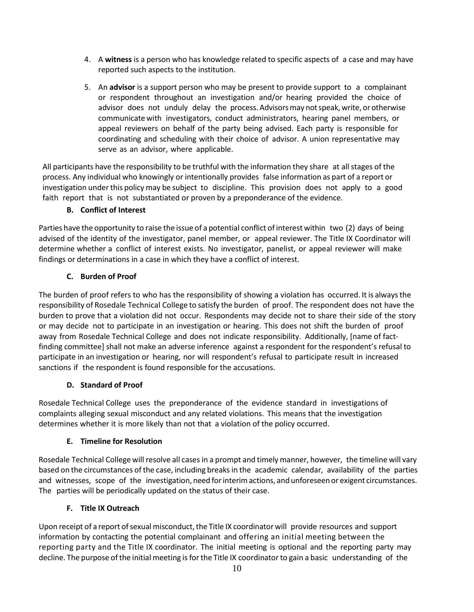- 4. A **witness** is a person who has knowledge related to specific aspects of a case and may have reported such aspects to the institution.
- 5. An **advisor** is a support person who may be present to provide support to a complainant or respondent throughout an investigation and/or hearing provided the choice of advisor does not unduly delay the process.Advisorsmay notspeak,write, orotherwise communicate with investigators, conduct administrators, hearing panel members, or appeal reviewers on behalf of the party being advised. Each party is responsible for coordinating and scheduling with their choice of advisor. A union representative may serve as an advisor, where applicable.

All participants have the responsibility to be truthful with the information they share at all stages of the process. Any individual who knowingly or intentionally provides false information as part of a report or investigation underthis policy may be subject to discipline. This provision does not apply to a good faith report that is not substantiated or proven by a preponderance of the evidence.

### **B. Conflict of Interest**

Parties have the opportunity to raise the issue of a potential conflict ofinterest within two (2) days of being advised of the identity of the investigator, panel member, or appeal reviewer. The Title IX Coordinator will determine whether a conflict of interest exists. No investigator, panelist, or appeal reviewer will make findings or determinations in a case in which they have a conflict of interest.

### **C. Burden of Proof**

The burden of proof refers to who has the responsibility of showing a violation has occurred. It is alwaysthe responsibility of Rosedale Technical College to satisfy the burden of proof. The respondent does not have the burden to prove that a violation did not occur. Respondents may decide not to share their side of the story or may decide not to participate in an investigation or hearing. This does not shift the burden of proof away from Rosedale Technical College and does not indicate responsibility. Additionally, [name of factfinding committee] shall not make an adverse inference against a respondent for the respondent's refusal to participate in an investigation or hearing, nor will respondent's refusal to participate result in increased sanctions if the respondent is found responsible for the accusations.

### **D. Standard of Proof**

Rosedale Technical College uses the preponderance of the evidence standard in investigations of complaints alleging sexual misconduct and any related violations. This means that the investigation determines whether it is more likely than not that a violation of the policy occurred.

### **E. Timeline for Resolution**

Rosedale Technical College will resolve all casesin a prompt and timely manner, however, the timeline will vary based on the circumstances of the case, including breaksin the academic calendar, availability of the parties and witnesses, scope of the investigation, need for interim actions, and unforeseen or exigent circumstances. The parties will be periodically updated on the status of their case.

## **F. Title IX Outreach**

Upon receipt of a report of sexual misconduct, the Title IX coordinator will provide resources and support information by contacting the potential complainant and offering an initial meeting between the reporting party and the Title IX coordinator. The initial meeting is optional and the reporting party may decline. The purpose ofthe initial meeting isforthe Title IX coordinatorto gain a basic understanding of the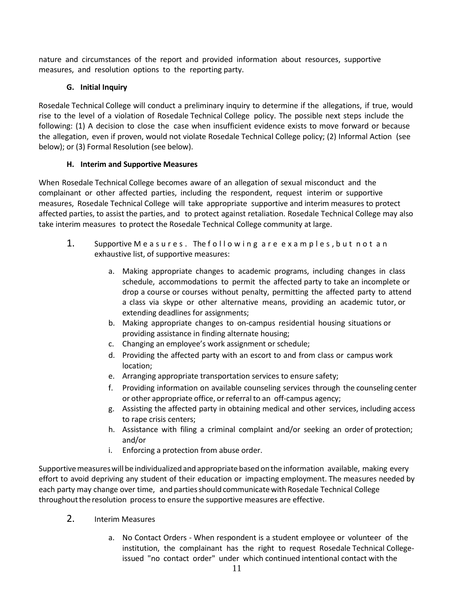nature and circumstances of the report and provided information about resources, supportive measures, and resolution options to the reporting party.

## **G. Initial Inquiry**

Rosedale Technical College will conduct a preliminary inquiry to determine if the allegations, if true, would rise to the level of a violation of Rosedale Technical College policy. The possible next steps include the following: (1) A decision to close the case when insufficient evidence exists to move forward or because the allegation, even if proven, would not violate Rosedale Technical College policy; (2) Informal Action (see below); or (3) Formal Resolution (see below).

## **H. Interim and Supportive Measures**

When Rosedale Technical College becomes aware of an allegation of sexual misconduct and the complainant or other affected parties, including the respondent, request interim or supportive measures, Rosedale Technical College will take appropriate supportive and interim measures to protect affected parties, to assist the parties, and to protect against retaliation. Rosedale Technical College may also take interim measures to protect the Rosedale Technical College community at large.

- 1. Supportive Measures. The following are examples, but not an exhaustive list, of supportive measures:
	- a. Making appropriate changes to academic programs, including changes in class schedule, accommodations to permit the affected party to take an incomplete or drop a course or courses without penalty, permitting the affected party to attend a class via skype or other alternative means, providing an academic tutor, or extending deadlines for assignments;
	- b. Making appropriate changes to on-campus residential housing situations or providing assistance in finding alternate housing;
	- c. Changing an employee's work assignment or schedule;
	- d. Providing the affected party with an escort to and from class or campus work location;
	- e. Arranging appropriate transportation services to ensure safety;
	- f. Providing information on available counseling services through the counseling center or other appropriate office, or referral to an off-campus agency;
	- g. Assisting the affected party in obtaining medical and other services, including access to rape crisis centers;
	- h. Assistance with filing a criminal complaint and/or seeking an order of protection; and/or
	- i. Enforcing a protection from abuse order.

Supportivemeasureswill be individualized and appropriate based onthe information available, making every effort to avoid depriving any student of their education or impacting employment. The measures needed by each party may change over time, and parties should communicate with Rosedale Technical College throughoutthe resolution process to ensure the supportive measures are effective.

- 2. Interim Measures
	- a. No Contact Orders When respondent is a student employee or volunteer of the institution, the complainant has the right to request Rosedale Technical Collegeissued "no contact order" under which continued intentional contact with the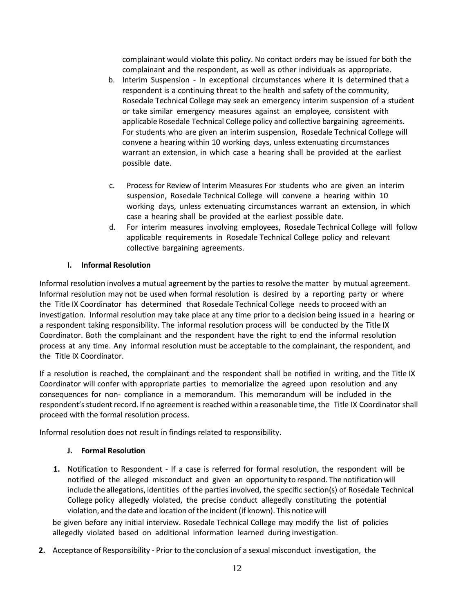complainant would violate this policy. No contact orders may be issued for both the complainant and the respondent, as well as other individuals as appropriate.

- b. Interim Suspension In exceptional circumstances where it is determined that a respondent is a continuing threat to the health and safety of the community, Rosedale Technical College may seek an emergency interim suspension of a student or take similar emergency measures against an employee, consistent with applicable Rosedale Technical College policy and collective bargaining agreements. For students who are given an interim suspension, Rosedale Technical College will convene a hearing within 10 working days, unless extenuating circumstances warrant an extension, in which case a hearing shall be provided at the earliest possible date.
- c. Process for Review of Interim Measures For students who are given an interim suspension, Rosedale Technical College will convene a hearing within 10 working days, unless extenuating circumstances warrant an extension, in which case a hearing shall be provided at the earliest possible date.
- d. For interim measures involving employees, Rosedale Technical College will follow applicable requirements in Rosedale Technical College policy and relevant collective bargaining agreements.

### **I. Informal Resolution**

Informal resolution involves a mutual agreement by the parties to resolve the matter by mutual agreement. Informal resolution may not be used when formal resolution is desired by a reporting party or where the Title IX Coordinator has determined that Rosedale Technical College needs to proceed with an investigation. Informal resolution may take place at any time prior to a decision being issued in a hearing or a respondent taking responsibility. The informal resolution process will be conducted by the Title IX Coordinator. Both the complainant and the respondent have the right to end the informal resolution process at any time. Any informal resolution must be acceptable to the complainant, the respondent, and the Title IX Coordinator.

If a resolution is reached, the complainant and the respondent shall be notified in writing, and the Title IX Coordinator will confer with appropriate parties to memorialize the agreed upon resolution and any consequences for non- compliance in a memorandum. This memorandum will be included in the respondent's student record. If no agreement is reached within a reasonable time, the Title IX Coordinator shall proceed with the formal resolution process.

Informal resolution does not result in findings related to responsibility.

#### **J. Formal Resolution**

**1.** Notification to Respondent - If a case is referred for formal resolution, the respondent will be notified of the alleged misconduct and given an opportunity to respond. The notification will include the allegations, identities of the parties involved, the specific section(s) of Rosedale Technical College policy allegedly violated, the precise conduct allegedly constituting the potential violation, and the date and location of the incident (if known). This notice will

be given before any initial interview. Rosedale Technical College may modify the list of policies allegedly violated based on additional information learned during investigation.

**2.** Acceptance of Responsibility - Prior to the conclusion of a sexual misconduct investigation, the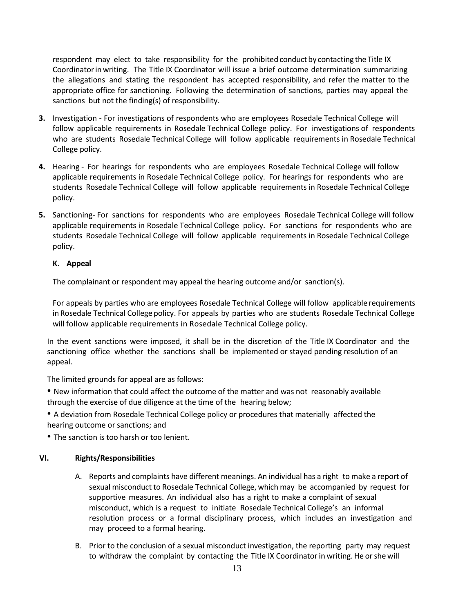respondent may elect to take responsibility for the prohibited conduct by contacting the Title IX Coordinatorinwriting. The Title IX Coordinator will issue a brief outcome determination summarizing the allegations and stating the respondent has accepted responsibility, and refer the matter to the appropriate office for sanctioning. Following the determination of sanctions, parties may appeal the sanctions but not the finding(s) of responsibility.

- **3.** Investigation For investigations of respondents who are employees Rosedale Technical College will follow applicable requirements in Rosedale Technical College policy. For investigations of respondents who are students Rosedale Technical College will follow applicable requirements in Rosedale Technical College policy.
- **4.** Hearing For hearings for respondents who are employees Rosedale Technical College will follow applicable requirements in Rosedale Technical College policy. For hearings for respondents who are students Rosedale Technical College will follow applicable requirements in Rosedale Technical College policy.
- **5.** Sanctioning- For sanctions for respondents who are employees Rosedale Technical College will follow applicable requirements in Rosedale Technical College policy. For sanctions for respondents who are students Rosedale Technical College will follow applicable requirements in Rosedale Technical College policy.

### **K. Appeal**

The complainant or respondent may appeal the hearing outcome and/or sanction(s).

For appeals by parties who are employees Rosedale Technical College will follow applicable requirements in Rosedale Technical College policy. For appeals by parties who are students Rosedale Technical College will follow applicable requirements in Rosedale Technical College policy.

In the event sanctions were imposed, it shall be in the discretion of the Title IX Coordinator and the sanctioning office whether the sanctions shall be implemented or stayed pending resolution of an appeal.

The limited grounds for appeal are as follows:

• New information that could affect the outcome of the matter and was not reasonably available through the exercise of due diligence at the time of the hearing below;

• A deviation from Rosedale Technical College policy or procedures that materially affected the hearing outcome or sanctions; and

• The sanction is too harsh or too lenient.

### **VI. Rights/Responsibilities**

- A. Reports and complaints have different meanings. An individual has a right to make a report of sexual misconduct to Rosedale Technical College, which may be accompanied by request for supportive measures. An individual also has a right to make a complaint of sexual misconduct, which is a request to initiate Rosedale Technical College's an informal resolution process or a formal disciplinary process, which includes an investigation and may proceed to a formal hearing.
- B. Prior to the conclusion of a sexual misconduct investigation, the reporting party may request to withdraw the complaint by contacting the Title IX Coordinatorin writing. He orshe will